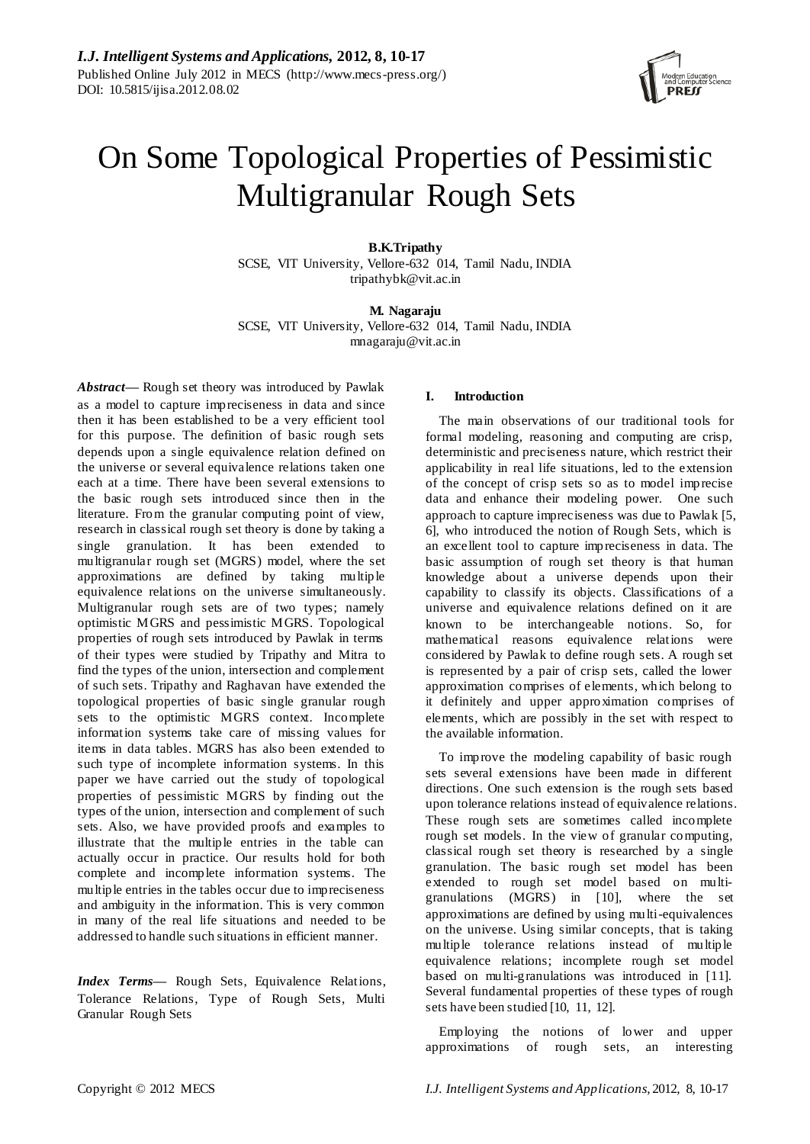

# On Some Topological Properties of Pessimistic Multigranular Rough Sets

**B.K.Tripathy**  SCSE, VIT University, Vellore-632 014, Tamil Nadu, INDIA tripathybk@vit.ac.in

**M. Nagaraju** SCSE, VIT University, Vellore-632 014, Tamil Nadu, INDIA mnagaraju@vit.ac.in

*Abstract—* Rough set theory was introduced by Pawlak as a model to capture impreciseness in data and since then it has been established to be a very efficient tool for this purpose. The definition of basic rough sets depends upon a single equivalence relation defined on the universe or several equivalence relations taken one each at a time. There have been several extensions to the basic rough sets introduced since then in the literature. From the granular computing point of view, research in classical rough set theory is done by taking a single granulation. It has been extended to multigranular rough set (MGRS) model, where the set approximations are defined by taking multiple equivalence relations on the universe simultaneously. Multigranular rough sets are of two types; namely optimistic MGRS and pessimistic MGRS. Topological properties of rough sets introduced by Pawlak in terms of their types were studied by Tripathy and Mitra to find the types of the union, intersection and complement of such sets. Tripathy and Raghavan have extended the topological properties of basic single granular rough sets to the optimistic MGRS context. Incomplete information systems take care of missing values for items in data tables. MGRS has also been extended to such type of incomplete information systems. In this paper we have carried out the study of topological properties of pessimistic MGRS by finding out the types of the union, intersection and complement of such sets. Also, we have provided proofs and examples to illustrate that the multiple entries in the table can actually occur in practice. Our results hold for both complete and incomplete information systems. The multiple entries in the tables occur due to impreciseness and ambiguity in the information. This is very common in many of the real life situations and needed to be addressed to handle such situations in efficient manner.

*Index Terms***—** Rough Sets, Equivalence Relations, Tolerance Relations, Type of Rough Sets, Multi Granular Rough Sets

# **I. Introduction**

The main observations of our traditional tools for formal modeling, reasoning and computing are crisp, deterministic and preciseness nature, which restrict their applicability in real life situations, led to the extension of the concept of crisp sets so as to model imprecise data and enhance their modeling power. One such approach to capture impreciseness was due to Pawlak [5, 6], who introduced the notion of Rough Sets, which is an excellent tool to capture impreciseness in data. The basic assumption of rough set theory is that human knowledge about a universe depends upon their capability to classify its objects. Classifications of a universe and equivalence relations defined on it are known to be interchangeable notions. So, for mathematical reasons equivalence relations were considered by Pawlak to define rough sets. A rough set is represented by a pair of crisp sets, called the lower approximation comprises of elements, which belong to it definitely and upper approximation comprises of elements, which are possibly in the set with respect to the available information.

To improve the modeling capability of basic rough sets several extensions have been made in different directions. One such extension is the rough sets based upon tolerance relations instead of equivalence relations. These rough sets are sometimes called incomplete rough set models. In the view of granular computing, classical rough set theory is researched by a single granulation. The basic rough set model has been extended to rough set model based on multigranulations (MGRS) in [10], where the set approximations are defined by using multi-equivalences on the universe. Using similar concepts, that is taking multiple tolerance relations instead of multiple equivalence relations; incomplete rough set model based on multi-granulations was introduced in [11]. Several fundamental properties of these types of rough sets have been studied [10, 11, 12].

Employing the notions of lower and upper approximations of rough sets, an interesting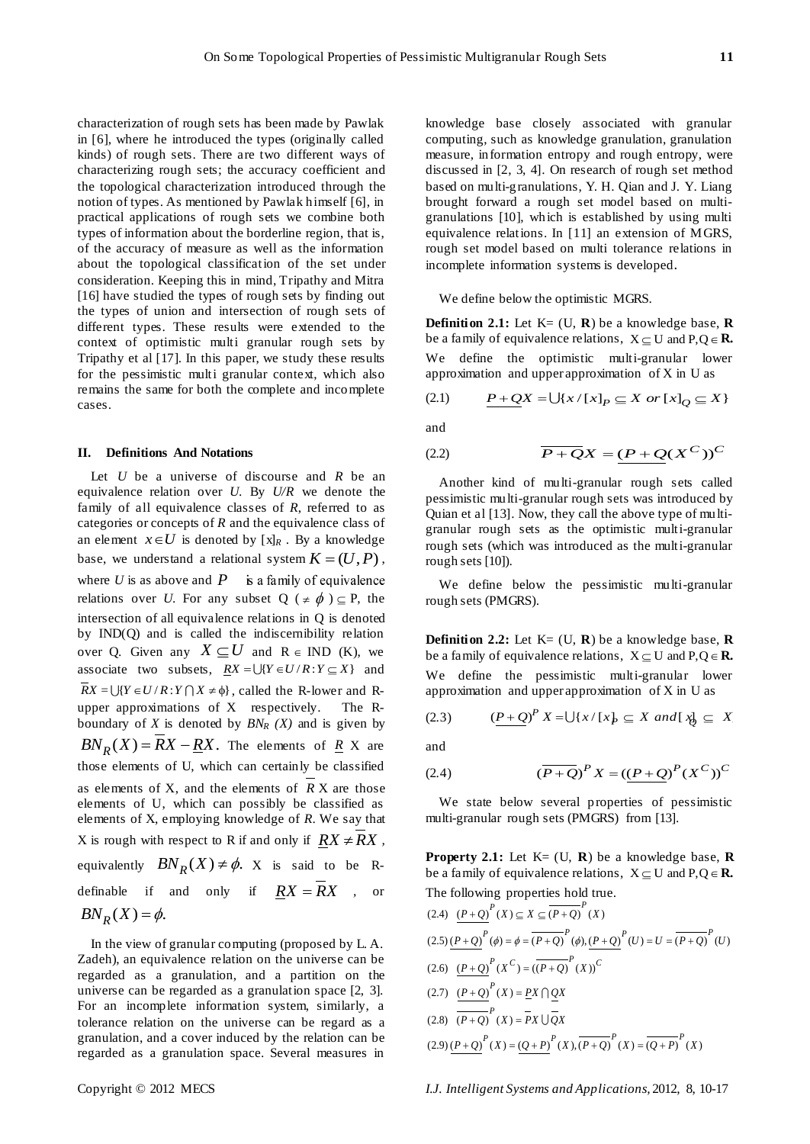characterization of rough sets has been made by Pawlak in [6], where he introduced the types (originally called kinds) of rough sets. There are two different ways of characterizing rough sets; the accuracy coefficient and the topological characterization introduced through the notion of types. As mentioned by Pawlak himself [6], in practical applications of rough sets we combine both types of information about the borderline region, that is, of the accuracy of measure as well as the information about the topological classification of the set under consideration. Keeping this in mind, Tripathy and Mitra [16] have studied the types of rough sets by finding out the types of union and intersection of rough sets of different types. These results were extended to the context of optimistic multi granular rough sets by Tripathy et al [17]. In this paper, we study these results for the pessimistic multi granular context, which also remains the same for both the complete and incomplete cases.

#### **II. Definitions And Notations**

Let *U* be a universe of discourse and *R* be an equivalence relation over *U*. By *U/R* we denote the family of all equivalence classes of *R*, referred to as categories or concepts of *R* and the equivalence class of an element  $x \in U$  is denoted by  $[x]_R$ . By a knowledge base, we understand a relational system  $K = (U, P)$ , where *U* is as above and *P* is a family of equivalence relations over *U*. For any subset  $Q$  ( $\neq \phi$ )  $\subseteq$  P, the intersection of all equivalence relations in Q is denoted by IND(Q) and is called the indiscernibility relation over Q. Given any  $X \subseteq U$  and  $R \in IND$  (K), we associate two subsets,  $\underline{RX} = \bigcup \{ Y \in U / R : Y \subseteq X \}$  and  $RX = \bigcup \{ Y \in U / R : Y \cap X \neq \emptyset \}$ , called the R-lower and Rupper approximations of X respectively. The Rboundary of *X* is denoted by  $BN_R(X)$  and is given by  $BN_R(X) = \overline{R}X - \underline{R}X$ . The elements of  $\underline{R}$  X are those elements of U, which can certainly be classified as elements of X, and the elements of *R* X are those elements of U, which can possibly be classified as elements of X, employing knowledge of *R*. We say that X is rough with respect to R if and only if  $\overline{RX} \neq \overline{RX}$ , equivalently  $BN_R(X) \neq \phi$ . X is said to be Rdefinable if and only if  $\overline{R}X = \overline{R}X$  , or  $BN_R(X) = \phi.$ 

In the view of granular computing (proposed by L. A. Zadeh), an equivalence relation on the universe can be regarded as a granulation, and a partition on the universe can be regarded as a granulation space [2, 3]. For an incomplete information system, similarly, a tolerance relation on the universe can be regard as a granulation, and a cover induced by the relation can be regarded as a granulation space. Several measures in

knowledge base closely associated with granular computing, such as knowledge granulation, granulation measure, information entropy and rough entropy, were discussed in [2, 3, 4]. On research of rough set method based on multi-granulations, Y. H. Qian and J. Y. Liang brought forward a rough set model based on multigranulations [10], which is established by using multi equivalence relations. In [11] an extension of MGRS, rough set model based on multi tolerance relations in incomplete information systems is developed.

We define below the optimistic MGRS.

**Definition 2.1:** Let  $K = (U, R)$  be a knowledge base,  $R$ be a family of equivalence relations,  $X \subseteq U$  and  $P, Q \in \mathbb{R}$ . We define the optimistic multi-granular lower

approximation and upper approximation of X in U as  
(2.1) 
$$
\underline{P+Q}X = \bigcup \{x/[x]_P \subseteq X \text{ or } [x]_Q \subseteq X\}
$$

and

$$
(2.2) \qquad \qquad \overline{P + Q}X = (P + Q(X^C))^C
$$

Another kind of multi-granular rough sets called pessimistic multi-granular rough sets was introduced by Quian et al [13]. Now, they call the above type of multigranular rough sets as the optimistic multi-granular rough sets (which was introduced as the multi-granular rough sets [10]).

We define below the pessimistic multi-granular rough sets (PMGRS).

**Definition 2.2:** Let  $K = (U, R)$  be a knowledge base,  $R$ be a family of equivalence relations,  $X \subseteq U$  and  $P, Q \in \mathbb{R}$ . We define the pessimistic multi-granular lower

approximation and upper approximation of X in U as  
(2.3) 
$$
\frac{(P+Q)}{P}X = \bigcup \{x/[x]_P \subseteq X \text{ and } [\frac{x}{P}] \subseteq X
$$

and

(2.4) 
$$
(\overline{P+Q})^P X = ((\underline{P+Q})^P (X^C))^C
$$

We state below several properties of pessimistic multi-granular rough sets (PMGRS) from [13].

**Property 2.1:** Let  $K = (U, R)$  be a knowledge base,  $R$ be a family of equivalence relations,  $X \subseteq U$  and  $P, Q \in \mathbb{R}$ . The following properties hold true.<br>
(2.4)  $\underline{(P+Q)}^P(X) \subseteq X \subseteq \overline{(P+Q)}^P(X)$ 

(2.4) 
$$
\frac{(P+Q)^{P}}{(X)} \subseteq X \subseteq \overline{(P+Q)}^{P}(X)
$$
  
\n(2.5) 
$$
\frac{(P+Q)^{P}}{(P+Q)^{P}}(\phi) = \phi = \overline{(P+Q)}^{P}(\phi), \frac{(P+Q)^{P}}{(V)}(U) = U = \overline{(P+Q)}^{P}(U)
$$
  
\n(2.6) 
$$
\frac{(P+Q)^{P}}{(P+Q)^{P}}(X) = \underbrace{(P+Q)^{P}}(X)\bigcirc^{C}
$$
  
\n(2.7) 
$$
\frac{(P+Q)^{P}}{(P+Q)^{P}}(X) = \underbrace{PX \cap QX}_{QX}
$$
  
\n(2.8) 
$$
\frac{(P+Q)^{P}}{(P+Q)^{P}}(X) = \overline{PX \cup QX}
$$
  
\n(2.9) 
$$
\frac{(P+Q)^{P}}{(P+Q)^{P}}(X) = \underbrace{(Q+P)^{P}}(X), \overline{(P+Q)^{P}}(X) = \underbrace{(Q+P)^{P}}(X)
$$

Copyright © 2012 MECS *I.J. Intelligent Systems and Applications,* 2012, 8, 10-17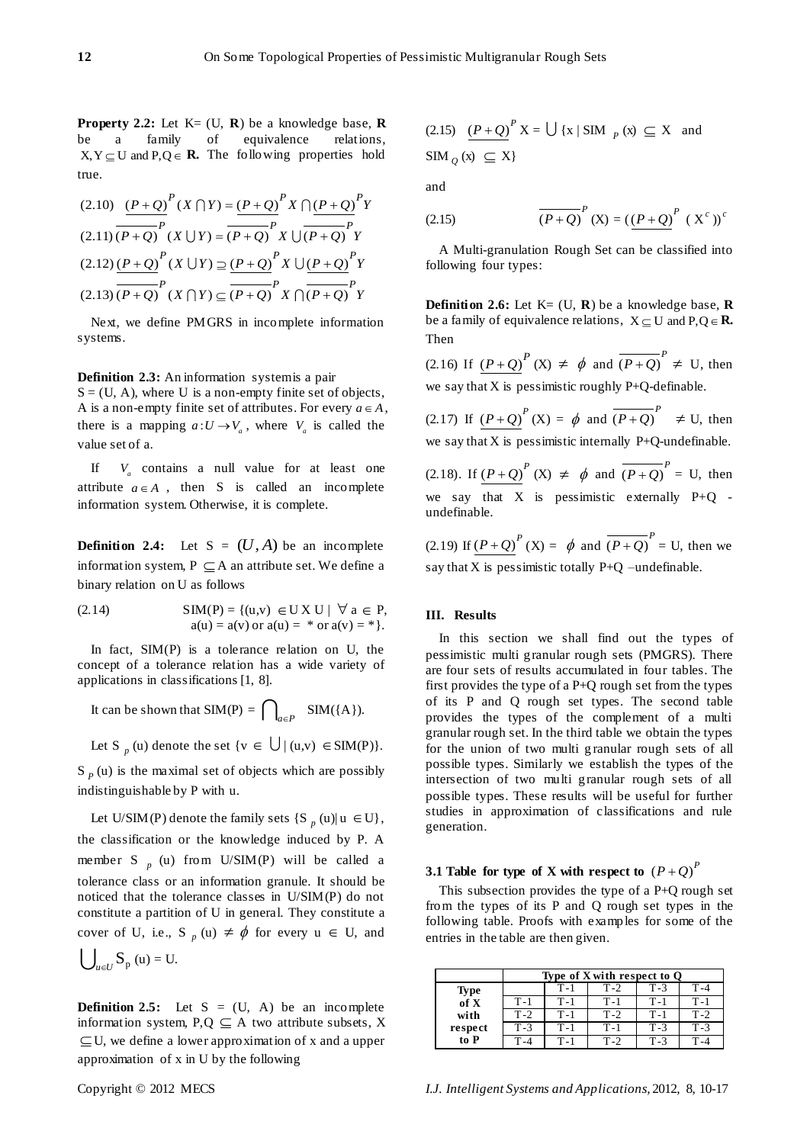**Property 2.2:** Let  $K = (U, R)$  be a knowledge base,  $R$ be a family of equivalence relations,  $X, Y \subseteq U$  and  $P, Q \in \mathbb{R}$ . The following properties hold true.

(2.10) 
$$
\frac{(P+Q)}{(P+Q)}^P(X \cap Y) = \frac{(P+Q)}{P}^P X \cap \frac{(P+Q)}{P}^P Y
$$

$$
(2.11) \overline{(P+Q)}^P(X \cup Y) = \overline{(P+Q)}^P X \cup \overline{(P+Q)}^P Y
$$

$$
(2.12) \frac{(P+Q)}{(P+Q)}^P(X \cup Y) \supseteq \frac{(P+Q)}{(P+Q)}^P X \cup \frac{(P+Q)}{(P+Q)}^P Y
$$

$$
(2.13) \overline{(P+Q)}^P(X \cap Y) \subseteq \overline{(P+Q)}^P X \cap \overline{(P+Q)}^P Y
$$

Next, we define PMGRS in incomplete information systems.

**Definition 2.3:** An information system is a pair

 $S = (U, A)$ , where U is a non-empty finite set of objects, A is a non-empty finite set of attributes. For every  $a \in A$ , there is a mapping  $a: U \to V_a$ , where  $V_a$  is called the value set of a.

If *Va* contains a null value for at least one attribute  $a \in A$ , then S is called an incomplete information system. Otherwise, it is complete.

**Definition 2.4:** Let  $S = (U, A)$  be an incomplete information system,  $P \subseteq A$  an attribute set. We define a binary relation on U as follows

(2.14) 
$$
SIM(P) = \{(u,v) \in U X U \mid \forall a \in P, a(u) = a(v) \text{ or } a(u) = * \text{ or } a(v) = * \}.
$$

In fact,  $SIM(P)$  is a tolerance relation on U, the concept of a tolerance relation has a wide variety of applications in classifications [1, 8].

It can be shown that SIM(P) = 
$$
\bigcap_{a \in P}
$$
 SIM( $\{A\}$ ).

Let S<sub>p</sub> (u) denote the set 
$$
\{v \in \bigcup |(u,v) \in SIM(P)\}.
$$

 $S_p(u)$  is the maximal set of objects which are possibly indistinguishable by P with u.

Let U/SIM(P) denote the family sets  $\{S_p(u) | u \in U\},\$ the classification or the knowledge induced by P. A member S  $_p$  (u) from U/SIM(P) will be called a tolerance class or an information granule. It should be noticed that the tolerance classes in U/SIM(P) do not constitute a partition of U in general. They constitute a cover of U, i.e., S  $_p(u) \neq \phi$  for every  $u \in U$ , and

$$
\bigcup\nolimits_{u\in U}S_{p}\left( u\right) =\mathrm{U}.
$$

**Definition 2.5:** Let  $S = (U, A)$  be an incomplete information system,  $P,Q \subseteq A$  two attribute subsets, X  $\subseteq$  U, we define a lower approximation of x and a upper approximation of x in U by the following

(2.15) 
$$
\frac{(P+Q)}{P}X = \bigcup \{x \mid \text{SIM }_{P}(x) \subseteq X \text{ and }
$$
  

$$
\text{SIM }_{Q}(x) \subseteq X\}
$$

and

(2.15) 
$$
\overline{(P+Q)}^{P} (X) = (\underline{(P+Q)}^{P} (X^{c}))^{c}
$$

A Multi-granulation Rough Set can be classified into following four types:

**Definition 2.6:** Let  $K = (U, R)$  be a knowledge base, **R** be a family of equivalence relations,  $X \subseteq U$  and  $P, Q \in \mathbb{R}$ . Then

(2.16) If  $(P+Q)^P$  (X)  $\neq \phi$  and  $\overline{(P+Q)}^P \neq U$ , then we say that  $X$  is pessimistic roughly P+Q-definable.

(2.17) If  $(P+Q)^P$  (X) =  $\phi$  and  $\overline{(P+Q)}^P$   $\neq$  U, then we say that  $X$  is pessimistic internally  $P+Q$ -undefinable.

(2.18). If  $(P+Q)^P$  (X)  $\neq \phi$  and  $\overline{(P+Q)}^P = U$ , then we say that X is pessimistic externally  $P+Q$  undefinable.

(2.19) If  $(P+Q)^P$  (X) =  $\phi$  and  $\overline{(P+Q)}^P$  = U, then we say that  $X$  is pessimistic totally  $P+Q$  –undefinable.

### **III. Results**

In this section we shall find out the types of pessimistic multi granular rough sets (PMGRS). There are four sets of results accumulated in four tables. The first provides the type of a P+Q rough set from the types of its P and Q rough set types. The second table provides the types of the complement of a multi granular rough set. In the third table we obtain the types for the union of two multi g ranular rough sets of all possible types. Similarly we establish the types of the intersection of two multi granular rough sets of all possible types. These results will be useful for further studies in approximation of classifications and rule generation.

# **3.1 Table for type of X with respect to**  $(P+Q)^P$

This subsection provides the type of a P+Q rough set from the types of its P and Q rough set types in the following table. Proofs with examples for some of the entries in the table are then given.

|                   | Type of X with respect to Q |       |       |       |       |  |
|-------------------|-----------------------------|-------|-------|-------|-------|--|
| <b>Type</b>       |                             | T-1   | $T-2$ | $T-3$ | $T-4$ |  |
| of X              | $T-1$                       | $T-1$ | $T-1$ | $T-1$ | $T-1$ |  |
| with              | $T-2$                       | $T-1$ | $T-2$ | $T-1$ | $T-2$ |  |
| respect           | $T-3$                       | $T-1$ | $T-1$ | $T-3$ | $T-3$ |  |
| $\overline{to}$ P |                             | $T-1$ | $T-2$ | $T-3$ |       |  |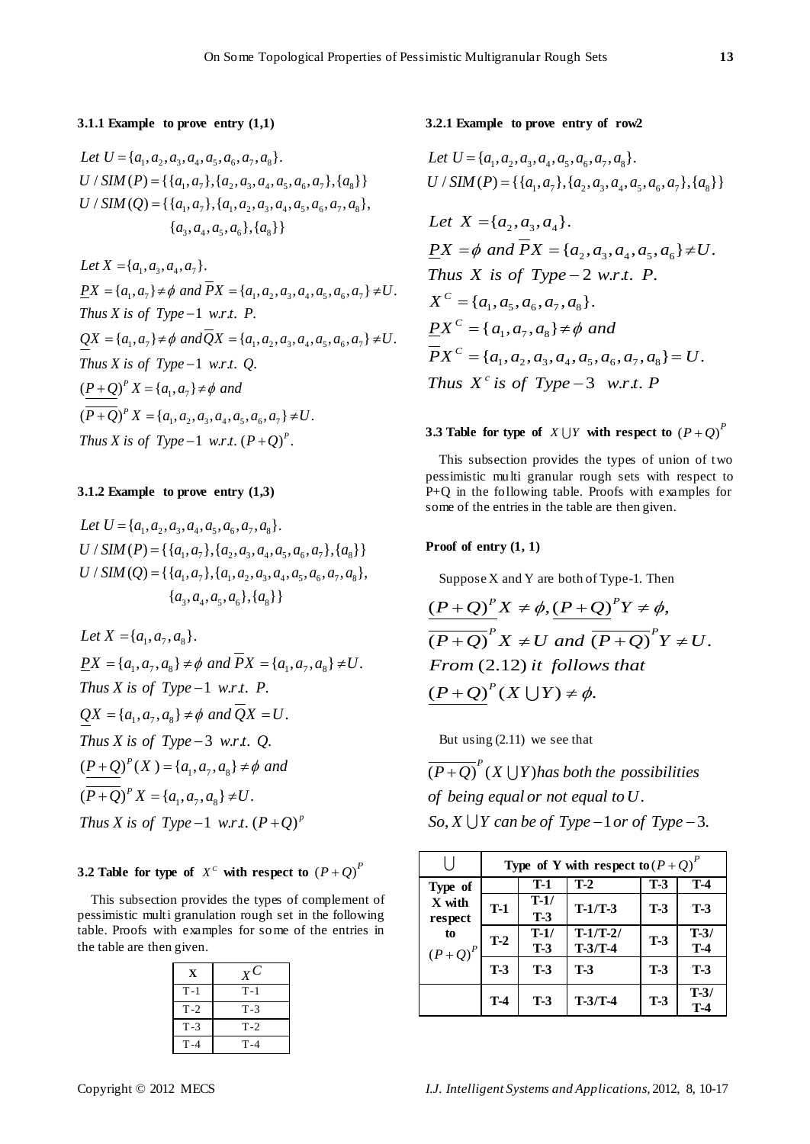#### **3.1.1 Example to prove entry (1,1)**

3.1.1 **Example** to prove entry (1,1)<br>Let  $U = \{a_1, a_2, a_3, a_4, a_5, a_6, a_7, a_8\}.$ Let  $U = \{a_1, a_2, a_3, a_4, a_5, a_6, a_7, a_8\}$ .<br>U / SIM (P) = { $\{a_1, a_7\}$ , $\{a_2, a_3, a_4, a_5, a_6, a_7\}$ , $\{a_8\}$ } /  $SIM(P) = \{\{a_1, a_7\}, \{a_2, a_3, a_4, a_5, a_6, a_7\}, \{a_8\}\}\$ <br>/  $SIM(Q) = \{\{a_1, a_7\}, \{a_1, a_2, a_3, a_4, a_5, a_6, a_7, a_8\}\},\$  $\{a_1, a_7\}, \{a_1, a_2, a_3, a_4,$ <br>  $\{a_3, a_4, a_5, a_6\}, \{a_8\}\}$ *U / SIM (P)* = { { $a_1$ ,  $a_7$ }, { $a_2$ ,  $a_3$ ,  $a_4$ ,  $a_5$ ,  $a_6$ ,  $a_7$ }, { $a_8$ <br>*U / SIM (Q)* = { { $a_1$ ,  $a_7$ }, { $a_1$ ,  $a_2$ ,  $a_3$ ,  $a_4$ ,  $a_5$ ,  $a_6$ ,  $a_7$ ,  $a_8$ 

 $\{a_3, a_4\}$ .<br>Let  $X = \{a_1, a_3, a_4, a_7\}$ .  $=\{a_1, a_3, a_4, a_7\}.$ <br>{ $a_1, a_7$ }  $\neq \emptyset$  and  $\overline{P}X = \{a_1, a_2, a_3, a_4, a_5, a_6, a_7\} \neq U.$ X is of Type -1 w.r.t. P.<br>  $\{a_1, a_7\} \neq \emptyset$  and  $\overline{Q}X = \{a_1, a_2, a_3, a_4, a_5, a_6, a_7\} \neq U$ .  ${}^{P} X = \{a_1, a_7\} \neq \phi$  $\left(\frac{P+Q}{P+Q}\right)^p X = \{a_1, a_7\} \neq \emptyset \text{ and}$ <br>  $\left(\overline{P+Q}\right)^p X = \{a_1, a_2, a_3, a_4, a_5, a_6, a_7\}$  $d\overline{P}X = \{a_1$ <br>1 w.r.t. P.  $d\overline{Q}X = \{a_1$ <br>1 w.r.t. Q.  $\overline{T}$ *hus X is of Type* -1 *w.r.t.* Q<br>  $(\underline{P+Q})^P X = \{a_1, a_7\} \neq \emptyset$  and *P Let*  $X = \{a_1, a_3, a_4, a_7\}$ .<br>  $\overline{PX} = \{a_1, a_7\} \neq \emptyset$  and  $\overline{PX} = \{a_1, a_2, a_3, a_4, a_5, a_6, a_7\} \neq U$ *Let*  $X = \{a_1, a_3, a_4, a_7\}$ .<br>  $\underline{PX} = \{a_1, a_7\} \neq \emptyset \text{ and } \overline{PX} = \{a_1, a_2, a_3, a_4, a_5, a_6, a_7\} \neq U$ .<br> *Thus X is of Type -1 w.r.t. P. Thus X is of Type* -1 *w.r.t. P.*<br> $QX = \{a_1, a_7\} \neq \emptyset$  and  $\overline{Q}X = \{a_1, a_2, a_3, a_4, a_5, a_6, a_7\} \neq U$ *Thus X is of Type* -1 *w.r.t. P.*<br>  $QX = \{a_1, a_7\} \neq \emptyset$  and  $\overline{Q}X = \{a_1, a_2, a_3, a_4, a_5, a_6, a_7\} \neq U$ .<br> *Thus X is of Type* -1 *w.r.t. Q.*  $\frac{P+Q}{P+Q}^p X = \{a_1, a_7\} \neq \emptyset$  and<br> $\overline{P+Q}^p X = \{a_1, a_2, a_3, a_4, a_5, a_6, a_7\} \neq U.$ Thus X is of Type  $-1$  w.r.t. P.  $(\overline{P+Q})^p X = \{a_1, a_2, a_3, a_4, a_5, a_6, a_7\} \neq U$ <br>Thus X is of Type -1 w.r.t.  $(P+Q)^p$ .

# **3.1.2 Example to prove entry (1,3)**

3.1.2 **Example to prove entry** (1,3)<br>Let  $U = \{a_1, a_2, a_3, a_4, a_5, a_6, a_7, a_8\}.$ Let  $U = \{a_1, a_2, a_3, a_4, a_5, a_6, a_7, a_8\}$ .<br>  $U / SIM(P) = \{\{a_1, a_7\}, \{a_2, a_3, a_4, a_5, a_6, a_7\}, \{a_8\}\}$ /  $SIM(P) = \{\{a_1, a_7\}, \{a_2, a_3, a_4, a_5, a_6, a_7\}, \{a_8\}\}\$ <br>/  $SIM(Q) = \{\{a_1, a_7\}, \{a_1, a_2, a_3, a_4, a_5, a_6, a_7, a_8\}\},\$  ${a_3, a_4, a_5, a_6}, {a_0}$  ${a_1, a_7}, {a_1, a_2, a_3, a_4}$ <br> ${a_3, a_4, a_5, a_6}, {a_8}$ *U* / *SIM* (*P*) = { { $a_1, a_7$ }, { $a_2, a_3, a_4, a_5, a_6, a_7$ }, { $a_8$ <br>*U* / *SIM* (*Q*) = { { $a_1, a_7$ }, { $a_1, a_2, a_3, a_4, a_5, a_6, a_7, a_8$  $=\{\{a_1, a_7\}, \{a_1, a_2, a_3\}, \{a_3, a_4, a_5, a_6\}, \{a_4, a_7, a_8, a_9\} \}$ 

Let  $X = \{a_1, a_7, a_8\}.$ Let  $X = \{a_1, a_7, a_8\}.$ <br> $\underline{PX} = \{a_1, a_7, a_8\} \neq \emptyset$  and  $\overline{PX} = \{a_1, a_7, a_8\} \neq U.$ Thus X is of Type -1 w.r.t. P.<br> $QX = \{a_1, a_7, a_8\} \neq \emptyset$  and  $\overline{Q}X = U$ . Thus *X* is of Type - 3 w.r<br> $(\underline{P+Q})^P(X) = \{a_1, a_7, a_8\}$  $\frac{(P+Q)}{(P+Q)^{P}}$   $(X) = \{a_1, a_7, a_8\} \neq 0$ <br> $\frac{(P+Q)^{P}}{(P+Q)^{P}}$   $X = \{a_1, a_7, a_8\} \neq U$ .  $\underline{PX} = \{a_1, a_7, a_8\} \neq \emptyset \text{ and } \overline{PX} =$ <br>Thus X is of Type -1 w.r.t. P.  $QX = \{a_1, a_7, a_8\} \neq \emptyset$  and  $QX =$ <br>Thus X is of Type – 3 w.r.t. Q.  $a_8$  }  $\neq U$ .<br>1 w.r.t. (P+Q) *P P p Phus X is of Type* -3 *w.r.t. Q.*<br> $P + Q$ <sup>*P*</sup>(*X*) = { $a_1, a_7, a_8$ }  $\neq \phi$  *and*  $\frac{P+Q}{P+Q}^{P}(X) = \{a_1, a_7, a_8\} \neq \emptyset$  and  $\overline{P+Q}^{P}X = \{a_1, a_7, a_8\} \neq U$ .  $(P+Q)^p X = \{a_1, a_7, a_8\} \neq U$ .<br>*Thus X is of Type -1 w.r.t.*  $(P+Q)^p$ 

**3.2 Table for type of**  $X^C$  with respect to  $(P+Q)^P$ 

This subsection provides the types of complement of pessimistic multi granulation rough set in the following table. Proofs with examples for some of the entries in the table are then given.

| X     | $X^C$ |
|-------|-------|
| $T-1$ | $T-1$ |
| $T-2$ | $T-3$ |
| $T-3$ | $T-2$ |
| $T-4$ | $T-4$ |

3.2.1 Example to prove entry of row2  
Let 
$$
U = \{a_1, a_2, a_3, a_4, a_5, a_6, a_7, a_8\}
$$
.  
U / SIM (P) = { $\{a_1, a_7\}$ ,  $\{a_2, a_3, a_4, a_5, a_6, a_7\}$ ,  $\{a_8\}$ }

Let 
$$
X = \{a_2, a_3, a_4\}
$$
.  
\n
$$
P(X = \emptyset \text{ and } \overline{PX} = \{a_2, a_3, a_4, a_5, a_6\} \neq U.
$$
\nThus  $X$  is of Type  $-2$  w.r.t. P.  
\n
$$
X^C = \{a_1, a_5, a_6, a_7, a_8\}.
$$
\n
$$
PX^C = \{a_1, a_7, a_8\} \neq \emptyset \text{ and}
$$
\n
$$
\overline{PX}^C = \{a_1, a_2, a_3, a_4, a_5, a_6, a_7, a_8\} = U.
$$
\nThus  $X^c$  is of Type  $-3$  w.r.t. P

# **3.3 Table for type of**  $X \cup Y$  with respect to  $(P+Q)^P$

This subsection provides the types of union of two pessimistic multi granular rough sets with respect to P+Q in the following table. Proofs with examples for some of the entries in the table are then given.

### **Proof of entry (1, 1)**

Suppose X and Y are both of Type-1. Then  
\n
$$
\frac{(P+Q)^{P}}{(P+Q)}X \neq \phi, \frac{(P+Q)^{P}}{(P+Q)^{P}}X \neq U
$$
\n
$$
P \neq U \text{ and } \frac{(P+Q)^{P}}{(P+Q)^{P}}Y \neq U.
$$
\nFrom (2.12) it follows that  
\n
$$
\frac{(P+Q)^{P}}{(X \cup Y)} \neq \phi.
$$

But using (2.11) we see that

But using (2.11) v<br> $\overline{(P+Q)}^P(X \cup Y)$  $(P+Q)^{r}(X \cup Y)$  has both the pos<br>of being equal or not equal to U. of being equal or not equal to U .<br>So, X  $\bigcup$  Y can be of Type – 1 or of Type – 3. *P P*+ $Q$ <sup>*P*</sup> $(X \cup Y)$ *has both the possibilities* 

|                                      | Type of Y with respect to $(P+Q)^P$ |                 |                         |            |                 |  |
|--------------------------------------|-------------------------------------|-----------------|-------------------------|------------|-----------------|--|
| Type of                              |                                     | T-1             | $T-2$                   | $T-3$      | $T-4$           |  |
| X with<br>respect<br>to<br>$(P+Q)^P$ | $T-1$                               | $T-1/$<br>$T-3$ | $T-1/T-3$               | $T-3$      | $T-3$           |  |
|                                      | $T-2$                               | $T-1/$<br>$T-3$ | $T-1/T-2/$<br>$T-3/T-4$ | $T-3$      | $T-3/$<br>$T-4$ |  |
|                                      | $T-3$                               | <b>T-3</b>      | <b>T-3</b>              | <b>T-3</b> | $T-3$           |  |
|                                      | $T-4$                               | <b>T-3</b>      | $T-3/T-4$               | $T-3$      | $T-3/$<br>Т-4   |  |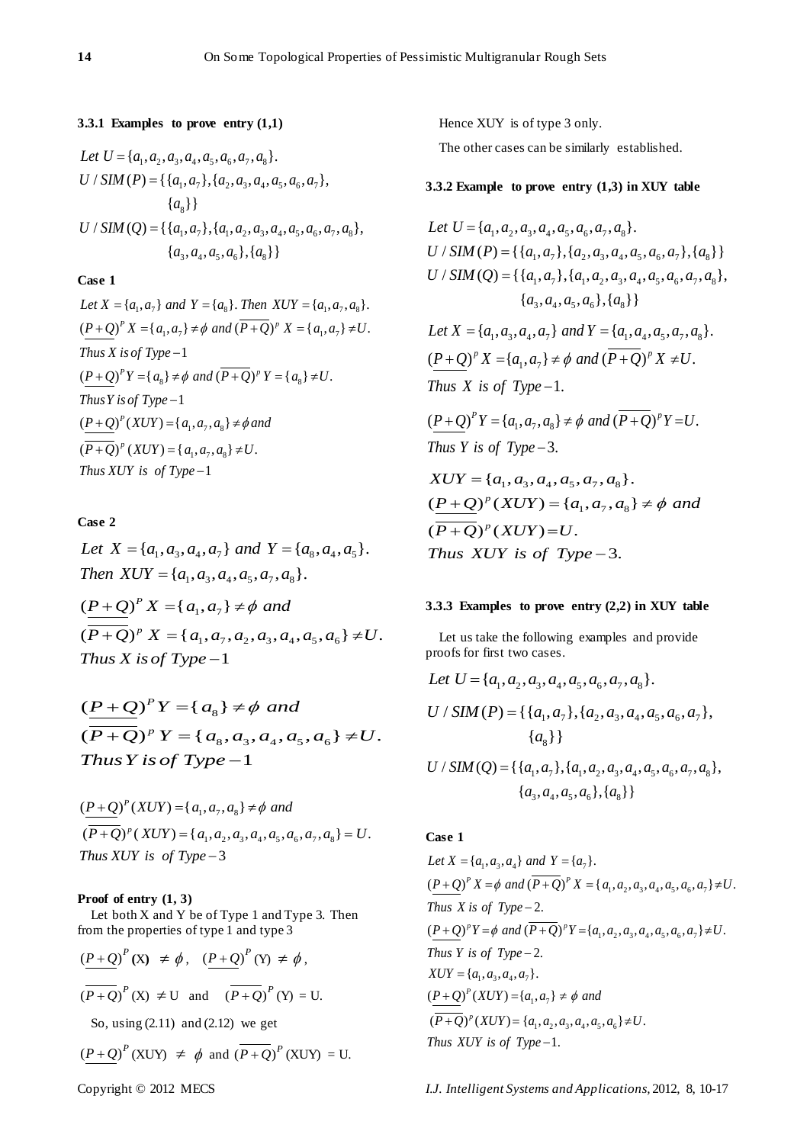3.3.1 Examples to prove entry (1,1)  
\nLet 
$$
U = \{a_1, a_2, a_3, a_4, a_5, a_6, a_7, a_8\}
$$
.  
\n $U / SIM(P) = \{\{a_1, a_7\}, \{a_2, a_3, a_4, a_5, a_6, a_7\},$   
\n $\{a_8\}\}$   
\n $U / SIM(Q) = \{\{a_1, a_7\}, \{a_1, a_2, a_3, a_4, a_5, a_6, a_7, a_8\},$   
\n $\{a_3, a_4, a_5, a_6\}, \{a_8\}\}$ 

# **Case 1**

**Case 1**<br>*Let*  $X = \{a_1, a_7\}$  and  $Y = \{a_8\}$ . Then  $XUY = \{a_1, a_7, a_8\}$ . Let  $X = \{a_1, a_7\}$  and  $Y = \{a_8\}$ . Then  $XUY = \{a_1, a_7, a_8\}$ .<br>  $(\underline{P+Q})^P X = \{a_1, a_7\} \neq \emptyset$  and  $(\overline{P+Q})^P X = \{a_1, a_7\} \neq U$ . Thus *X* is of Type –1<br>  $(\underline{P+Q})^p Y = \{a_8\} \neq \emptyset$  and  $(\overline{P+Q})^p Y = \{a_8\} \neq U$ . Thus Y is of Type –1<br>  $(\underline{P+Q})^P(XUY) = \{a_1, a_7, a_8\}$  $\frac{(P+Q)}{(P+Q)^p}(XUY) = \{a_1, a_7, a_8\} \neq \phi a$ <br>  $\overline{(P+Q)}^p(XUY) = \{a_1, a_7, a_8\} \neq U.$  $-1$ 1 *P p Let*  $X = \{a_1, a_7\}$  *and*  $Y = \{a_8\}$ *. Then*  $XUY = \{a_1, a_7, a_8\}$ *.*<br>  $(\underline{P+Q})^P X = \{a_1, a_7\} \neq \emptyset$  *and*  $(\overline{P+Q})^P X = \{a_1, a_7\} \neq U$ *.<br>
<i>Thus*  $X$  *is of Type* -1 *Thus X is of Type* –1<br>  $(\underline{P+Q})^p Y = \{a_s\} \neq \emptyset$  and  $(\overline{P+Q})^p Y = \{a_s\} \neq U$ .<br> *Thus Y is of Type* –1 *Phus Y is of Type* – 1<br> $\frac{P+Q}{P(XUY)} = \{a_1, a_7, a_8\} \neq \phi$  and  $\frac{P+Q}{P+Q}^{P}(XUY) = \{a_1, a_7, a_8\} \neq \emptyset$ <br> $\overline{P+Q}^{P}(XUY) = \{a_1, a_7, a_8\} \neq U$  $(\overline{P+Q})^p$  (*XUY*) = { $a_1, a_7$ <br>*Thus XUY is of Type* -1  $+\underline{Q}$ )<sup>P</sup>(*XUY*)={a<sub>1</sub>, a<sub>2</sub>, a<sub>8</sub>}  $\neq \phi$  and<br> $+\overline{Q}$ )<sup>P</sup>(*XUY*)={a<sub>1</sub>, a<sub>2</sub>, a<sub>8</sub>}  $\neq U$ .

# **Case 2**

Case 2<br>Let  $X = \{a_1, a_3, a_4, a_7\}$  and  $Y = \{a_8, a_4, a_5\}$ . Let  $X = \{a_1, a_3, a_4, a_7\}$  and  $Y = \{a_1, a_2, a_4, a_5, a_7, a_8\}.$ Then  $XUY = \{a_1, a_3, a_4\}$ <br> $\left(\frac{P+Q}{P}\right)^P X = \{a_1, a_7\}$  $\frac{(P+Q)^p X}{(P+Q)^p X} = \{a_1, a_7\} \neq \emptyset \text{ and}$ <br>  $\frac{(P+Q)^p X}{(P+Q)^p X} = \{a_1, a_7, a_2, a_3, a_4, a_5, a_6\} \neq U.$  $-1$ *P p Phen*  $XUY = \{a_1, a_3, a_4, a_5, a_7, a_8, a_9\}$ <br>*P* + *Q*)<sup>*P*</sup> *X* = { $a_1, a_7$ }  $\neq \phi$  *and*  $\frac{P+Q}{P+Q}^P X = \{a_1, a_7\} \neq \emptyset$  and<br> $\overline{P+Q}^P X = \{a_1, a_7, a_2, a_3, a_4, a_5, a_6\} \neq U$  $(\overline{P+Q})^p$   $X = \{a_1, f_1, f_2, f_3, f_4, f_5, f_6, f_7, f_8, f_9, f_9\}$  $+ Q^P X = {a_1, a_7} \neq \emptyset$  and<br>  $+ Q^P X = {a_1, a_7, a_2, a_3, a_4, a_5, a_6} \neq U.$ 

 $(P+Q)<sup>P</sup>Y = {a<sub>8</sub>}$  $\frac{(P+Q)^p Y}{(P+Q)^p Y} = \{a_8\} \neq \emptyset \text{ and}$ <br>  $\frac{(P+Q)^p Y}{(P+Q)^p Y} = \{a_8, a_3, a_4, a_5, a_6\} \neq U.$  $-1$ *P p*  $(P+Q)^P Y = \{a_8\} \neq \phi$  and  $\frac{P+Q}{P+Q}^P Y = \{a_8\} \neq \emptyset$  and<br> $\overline{P+Q}^P Y = \{a_8, a_3, a_4, a_5, a_6\} \neq U$  $(\overline{P+Q})^p Y = \{a_8$ <br>*Thus Y is of Type*  $\frac{+Q}{+Q}$ <sup>P</sup> Y = {  $a_8$  }  $\neq \phi$  and<br> $\frac{1}{+Q}$  }<sup>p</sup> Y = {  $a_8$ ,  $a_3$ ,  $a_4$ ,  $a_5$ ,  $a_6$  }  $\neq U$ .

$$
\frac{(P+Q)^{P}(XUY) = \{a_1, a_7, a_8\} \neq \emptyset \text{ and }}{(P+Q)^{P}(XUY) = \{a_1, a_2, a_3, a_4, a_5, a_6, a_7, a_8\} = U.
$$
\nThus XUY is of Type -3

#### **Proof of entry (1, 3)**

Let both  $X$  and  $Y$  be of Type 1 and Type 3. Then from the properties of type 1 and type 3

$$
\frac{(P+Q)^P(\mathbf{X}) \neq \phi, (P+Q)^P(\mathbf{Y}) \neq \phi,}{(P+Q)^P(\mathbf{X}) \neq \mathbf{U} \text{ and } (P+Q)^P(\mathbf{Y}) = \mathbf{U}}.
$$
  
So, using (2.11) and (2.12) we get

 $(P+Q)^P$  (XUY)  $\neq \phi$  and  $(\overline{P+Q})^P$  (XUY) = U.

Hence XUY is of type 3 only.

The other cases can be similarly established.

# **3.3.2 Example to prove entry (1,3) in XUY table**

Let 
$$
U = \{a_1, a_2, a_3, a_4, a_5, a_6, a_7, a_8\}
$$
.  
\n $U / SIM(P) = \{\{a_1, a_7\}, \{a_2, a_3, a_4, a_5, a_6, a_7\}, \{a_8\}\}$   
\n $U / SIM(Q) = \{\{a_1, a_7\}, \{a_1, a_2, a_3, a_4, a_5, a_6, a_7, a_8\}, \{a_3, a_4, a_5, a_6\}, \{a_8\}\}$   
\nLet  $X = \{a_1, a_3, a_4, a_7\}$  and  $Y = \{a_1, a_4, a_5, a_7, a_8\}$ .  
\n $(P+Q)^p X = \{a_1, a_7\} \neq \emptyset$  and  $(P+Q)^p X \neq U$ .  
\nThus X is of Type -1.  
\n $(P+Q)^p Y = \{a_1, a_7, a_8\} \neq \emptyset$  and  $(\overline{P+Q})^p Y = U$ .  
\nThus Y is of Type -3.  
\n $XUY = \{a_1, a_3, a_4, a_5, a_7, a_8\}$ .  
\n $(P+Q)^p (XUY) = \{a_1, a_7, a_8\} \neq \emptyset$  and  
\n $(\overline{P+Q})^p (XUY) = U$ .  
\nThus XUY is of Type -3.

#### **3.3.3 Examples to prove entry (2,2) in XUY table**

Let us take the following examples and provide

proofs for first two cases.  
\nLet 
$$
U = \{a_1, a_2, a_3, a_4, a_5, a_6, a_7, a_8\}
$$
.  
\n $U / SIM(P) = \{\{a_1, a_7\}, \{a_2, a_3, a_4, a_5, a_6, a_7\}, \{a_8\}\}\$ 

{ $a_8$ } }<br>/ SIM(Q) = {{ $a_1, a_7$ }, { $a_1, a_2, a_3, a_4, a_5, a_6, a_7, a_8$ },  ${a_3, a_4, a_5, a_6}, {a_8}$  ${a_1, a_7}, {a_1, a_2, a_3, a_4}$ <br> ${a_3, a_4, a_5, a_6}, {a_8}$  ${a_8}$ }<br>*U / SIM* (*Q*) = {{ $a_1, a_2, a_3, a_4, a_5, a_6, a_7, a_8$  $=\{\{a_1, a_7\}, \{a_1, a_2, a_3\}, \{a_3, a_4, a_5, a_6\}, \{a_3, a_4, a_5, a_6\}\}$ 

# **Case 1**

**Case 1**<br>*Let*  $X = \{a_1, a_3, a_4\}$  and  $Y = \{a_7\}$ . Let  $X = \{a_1, a_3, a_4\}$  and  $Y = \{a_7\}$ .<br>  $\underline{(P+Q)}^p X = \phi$  and  $(\overline{P+Q})^p X = \{a_1, a_2, a_3, a_4, a_5, a_6, a_7\} \neq U$ . Thus *X* is of Type -2.<br>  $\underline{(P+Q)}^p Y = \phi$  and  $(\overline{P+Q})^p Y = \{a_1, a_2, a_3, a_4, a_5, a_6, a_7\} \neq U$ . *Thus Y is of Type* - 2<br>*XUY* = { $a_1$ ,  $a_3$ ,  $a_4$ ,  $a_7$ }.  $XUY = {a_1, a_3, a_4, a_7}.$ <br>  $(\underline{P+Q})^P(XUY) = {a_1, a_7}.$  $\frac{(P+Q)}{P}$ <sup>*N*</sup>  $X = \phi$  and  $\overline{P}$ <br>*Thus X is of Type* – 2.  $-2.$  $\frac{(P+Q)}{(P+Q)^p(XUY)}$ *P p Thus X is of Type* -2.<br>  $(\underline{P+Q})^p Y = \phi$  and  $(\overline{P+Q})^p Y = \{a_1, a_2, a_3, a_4, a_5, a_6, a_7\} \neq U$ .<br> *Thus Y is of Type* -2. *P Q XUY a a and*  $\frac{P+Q}{P+Q}^{P}(XUY) = \{a_1, a_7\} \neq \emptyset \text{ and}$ <br> $\frac{P+Q}{P+Q}^{P}(XUY) = \{a_1, a_2, a_3, a_4, a_5, a_6\} \neq U.$  $-1.$  $\overline{\overline{(P+Q)}}^p(XUY) = \{a_1,$ <br>Thus XUY is of Type  $=\{a_1, a_7\} \neq \emptyset$  and<br>=  $\{a_1, a_2, a_3, a_4, a_5, a_6\} \neq U$ .

Copyright © 2012 MECS *I.J. Intelligent Systems and Applications,* 2012, 8, 10-17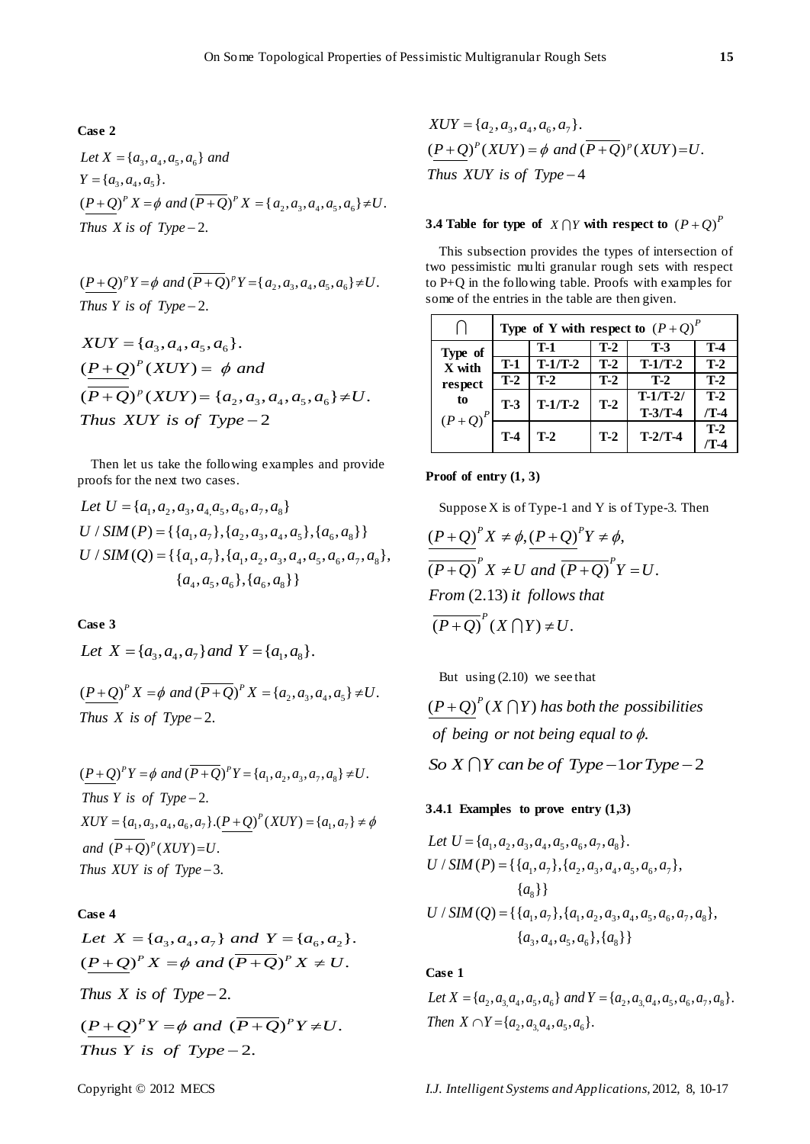# **Case 2**

 ${a_3, a_4, a_5, a_6}$  $= \{a_3, a_4, a_5\}$  $Y = \{a_3, a_4, a_5\}.$ <br>  $\underline{(P+Q)}^P X = \phi$  and  $(\overline{P+Q})^P X = \{a_2, a_3, a_4, a_5, a_6\} \neq U.$  $X = \{a_3, a_4,$ <br>{ $a_3, a_4, a_5$ }.  $-2.$ **Case 2**<br>*Let*  $X = \{a_3, a_4, a_5, a_6\}$  and *Let*  $X = \{a_3, a_4, a_5\}$  $Y = \{a_3, a_4, a_5\}.$ <br>  $(\underline{P+Q})^P X = \phi$  and  $(\overline{P+Q})^P X = \{a_2, a_3, a_4, a_5, a_6\} \neq U.$ <br> *Thus X is of Type* – 2.

$$
\frac{(P+Q)^p Y = \phi \text{ and } (\overline{P+Q})^p Y = \{a_2, a_3, a_4, a_5, a_6\} \neq U.
$$
  
Thus Y is of Type -2.

$$
HMS 1 is of Type-2.
$$
  
\n
$$
XUY = \{a_3, a_4, a_5, a_6\}.
$$
  
\n
$$
\frac{(P+Q)^p (XUY) = \phi \text{ and } (P+Q)^p (XUY) = \{a_2, a_3, a_4, a_5, a_6\} \neq U.
$$
  
\nThus XUY is of Type-2

Then let us take the following examples and provide

proofs for the next two cases.  
\nLet 
$$
U = \{a_1, a_2, a_3, a_4, a_5, a_6, a_7, a_8\}
$$
  
\n $U / SIM(P) = \{\{a_1, a_7\}, \{a_2, a_3, a_4, a_5\}, \{a_6, a_8\}\}$   
\n $U / SIM(Q) = \{\{a_1, a_7\}, \{a_1, a_2, a_3, a_4, a_5, a_6, a_7, a_8\}, \{a_4, a_5, a_6\}, \{a_6, a_8\}\}$ 

**Case 3**

Let  $X = \{a_1, a_2, a_3\}$  and  $Y = \{a_1, a_8\}.$ 

 $(\underline{P+Q})^P X = \phi$  and  $(\overline{P+Q})^P X = \{a_2, a_3, a_4, a_5\} \neq U$ .  $-2.$  $\frac{(P+Q)}{Thus X}$  *is of Type*  $+Q^P X = \phi$  and  $(\overline{P+Q})^P X = \{a_2, a_3, a_4, a_5\} \neq U$ .

 $(\underline{P+Q})^P Y = \phi$  and  $(\overline{P+Q})^P Y = \{a_1, a_2, a_3, a_7, a_8\} \neq U$ . is of Type - 2.<br>{ $a_1, a_3, a_4, a_6, a_7$ }.( $\underline{P+Q}$ )<sup> $P$ </sup>(XUY) = { $a_1, a_7$ }  $-2.$ = { $a_1, a_3, a_4, a_6, a_7$  } . ( $\frac{P+Q}{P+Q}$ )<sup> $P$ </sup><br>( $\frac{P+Q}{P+Q}$ )<sup> $P$ </sup> (*XUY*)=*U*. 3. *and*  $(\overline{P+Q})^p$  (*XUY*)=<br>*Thus XUY is of Type*  $(\underline{P+Q})^P Y = \phi$  and  $(\overline{P+Q})^P Y = \{a_1, a_2, a_3, a_7, a_8\} \neq U$ .<br>Thus *Y* is of *Type* – 2. *XuY =* { $a_1$ ,  $a_3$ ,  $a_4$ ,  $a_6$ ,  $a_7$  }  $\cdot$  ( $\frac{P+Q}{P}$  (*XUY* ) = { $a_1$ ,  $a_2$ *Thus Y is of Type* - 2.<br> *XUY* = { $a_1, a_3, a_4, a_6, a_7$ }. ( $\underline{P + Q}^P(XUY) = \{a_1, a_7\} \neq \phi$ <br> *and*  $(\overline{P + Q})^P(XUY) = U$ .  $(a_1, a_3, a_4, a_6, a_7).(\underline{P+Q}$ <br>+Q)<sup>p</sup>(XUY)=U.

# **Case 4**

Case 4<br>Let  $X = \{a_3, a_4, a_7\}$  and  $Y = \{a_6, a_2\}$ . Let  $X = \{a_3, a_4, a_7\}$  and  $Y = \{a_6, a_2\}$ .<br>  $\left(\frac{P+Q}{P}\right)^p X = \phi$  and  $\left(\overline{P+Q}\right)^p X \neq U$ . *Thus X is of Type* – 2.<br>  $\underline{(P+Q)}^P Y = \phi$  and  $(\overline{P+Q})^P Y \neq U$ .  $\frac{(P+Q)^P Y = \phi \text{ and}}{\text{Thus } Y \text{ is of Type}}$  $(X \times Y) \text{ is of } I$  ype - 2.<br>  $\frac{1}{2} Q^P Y = \phi \text{ and } (\overline{P+Q})^P Y \neq U.$ 

 $-2.$ 

 $XUY = \{a_2, a_3, a_4, a_6, a_7\}.$  $XUY = {a_2, a_3, a_4, a_6, a_7}.$ <br> $(\underline{P+Q})^P(XUY) = \phi \text{ and } (\overline{P+Q})^P(XUY) = U.$  $\left(\frac{P+Q}{P}\right)^{P}(XUY) = \phi$  and (<br>Thus XUY is of Type – 4

# **3.4 Table for type of**  $X \cap Y$  with respect to  $(P+Q)^P$

This subsection provides the types of intersection of two pessimistic multi granular rough sets with respect to P+Q in the following table. Proofs with examples for some of the entries in the table are then given.

|                                      | Type of Y with respect to $(P+Q)^P$ |           |       |            |       |  |
|--------------------------------------|-------------------------------------|-----------|-------|------------|-------|--|
| Type of                              |                                     | $T-1$     | $T-2$ | $T-3$      | $T-4$ |  |
| X with<br>respect<br>to<br>$(P+Q)^P$ | $T-1$                               | $T-1/T-2$ | $T-2$ | $T-1/T-2$  | $T-2$ |  |
|                                      | $T-2$                               | $T-2$     | $T-2$ | $T-2$      | $T-2$ |  |
|                                      | $T-3$                               | $T-1/T-2$ | $T-2$ | $T-1/T-2/$ | $T-2$ |  |
|                                      |                                     |           |       | $T-3/T-4$  | /T-4  |  |
|                                      | $T-4$                               | $T-2$     | $T-2$ | $T-2/T-4$  | $T-2$ |  |
|                                      |                                     |           |       |            | /T-4  |  |

### **Proof of entry (1, 3)**

Suppose  $X$  is of Type-1 and  $Y$  is of Type-3. Then

$$
\frac{(P+Q)}{(P+Q)}^p X \neq \phi, \frac{(P+Q)}{(P+Q)}^p Y \neq \phi,
$$
  
\n
$$
\frac{(P+Q)}{(P+Q)}^p X \neq U \text{ and } \frac{(P+Q)}{(P+Q)}^p Y = U.
$$
  
\nFrom (2.13) it follows that  
\n
$$
\frac{(P+Q)}{(P+Q)}^p (X \cap Y) \neq U.
$$

But using (2.10) we see that

But using (2.10)  $\frac{(P+Q)}{(P+Q)}$  (X  $\cap$  Y) has both the pos.<br>*of being or not being equal to*  $\phi$ *. P* But using (2.10) we see that<br> $\left(\frac{P+Q}{P}\right)^{P}(X \cap Y)$  has both the possibilities *So*  $X \bigcap Y$  *can be of Type*  $-1$  *or Type*  $-2$ 

3.4.1 Examples to prove entry (1,3)  
\nLet 
$$
U = \{a_1, a_2, a_3, a_4, a_5, a_6, a_7, a_8\}
$$
.  
\n $U / SIM(P) = \{\{a_1, a_7\}, \{a_2, a_3, a_4, a_5, a_6, a_7\},$   
\n $\{a_8\}\}$   
\n $U / SIM(Q) = \{\{a_1, a_7\}, \{a_1, a_2, a_3, a_4, a_5, a_6, a_7, a_8\},$   
\n $\{a_3, a_4, a_5, a_6\}, \{a_8\}\}$ 

# **Case 1**

Case 1<br>Let  $X = \{a_2, a_3, a_4, a_5, a_6\}$  and  $Y = \{a_2, a_3, a_4, a_5, a_6, a_7, a_8\}$ . *Let*  $X = \{a_2, a_3, a_4, a_5, a_6\}$  *and Y*<br>*Then*  $X \cap Y = \{a_2, a_3, a_4, a_5, a_6\}$ *.* 

Copyright © 2012 MECS *I.J. Intelligent Systems and Applications,* 2012, 8, 10-17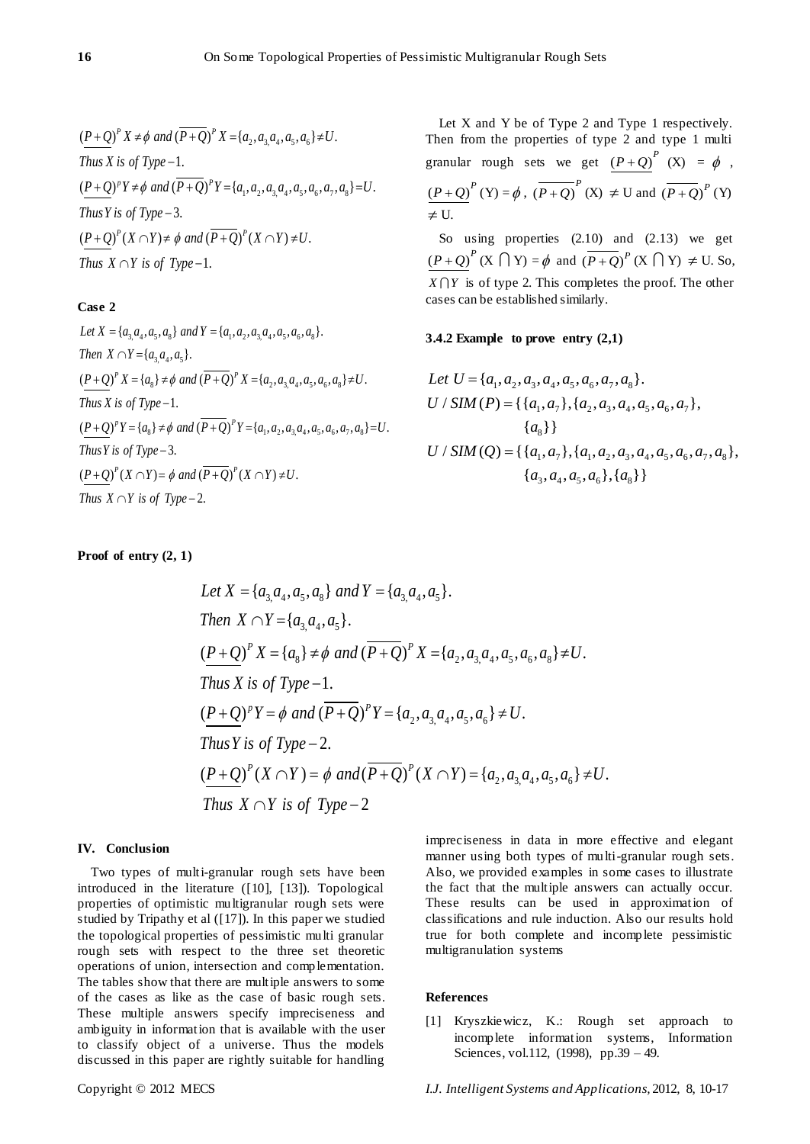$$
\frac{(P+Q)^p X \neq \phi \text{ and } (\overline{P+Q})^p X = \{a_2, a_3, a_4, a_5, a_6\} \neq U. \text{ Thus } X \text{ is of Type } -1.
$$
\n
$$
\frac{(P+Q)^p Y \neq \phi \text{ and } (\overline{P+Q})^p Y = \{a_1, a_2, a_3, a_4, a_5, a_6, a_7, a_8\} = U. \text{ Thus } Y \text{ is of Type } -3.
$$
\n
$$
\frac{(P+Q)^p (X \cap Y) \neq \phi \text{ and } (\overline{P+Q})^p (X \cap Y) \neq U. \text{ Thus } X \cap Y \text{ is of Type } -1.
$$

# **Case 2**

Case 2<br>Let  $X = \{a_3, a_4, a_5, a_8\}$  and  $Y = \{a_1, a_2, a_3, a_4, a_5, a_6, a_8\}$ . *Let*  $X = \{a_{3,}a_{4}, a_{5}, a_{8}\}\$ an<br>*Then*  $X \cap Y = \{a_{3,}a_{4}, a_{5}\}.$ Then  $X \cap Y = \{a_3, a_4, a_5\}.$ <br>  $\underline{(P+Q)}^P X = \{a_8\} \neq \emptyset \text{ and } (\overline{P+Q})^P X = \{a_2, a_3, a_4, a_5, a_6, a_8\} \neq U.$ Thus *X* is of Type -1.<br>  $(\underline{P+Q})^p Y = \{a_8\} \neq \emptyset$  and  $(\overline{P+Q})^p Y = \{a_1, a_2, a_3, a_4, a_5, a_6, a_7, a_8\} = U$ . 1. 3. Thus *Y* is of Type – 3.<br>  $\underline{(P+Q)}^P(X \cap Y) = \phi$  and  $(\overline{P+Q})^P(X \cap Y) \neq U$ . *Then*  $X \cap Y = \{a_3, a_4, a_5\}$ .<br>  $\underline{(P+Q)}^P X = \{a_8\} \neq \emptyset \text{ and } (\overline{P+Q})^P X = \{a_2, a_3, a_4, a_5, a_6, a_8\} \neq U$ .<br> *Thus*  $X$  is of Type -1. *Thus X is of Type* -1.<br>  $(\underline{P+Q})^p Y = \{a_s\} \neq \emptyset$  and  $(\overline{P+Q})^p Y = \{a_1, a_2, a_3, a_4, a_5, a_6, a_7, a_8\} = U$ .<br> *Thus Y is of Type* -3.  $\left(\frac{P+Q}{P}\right)^{P}(X \cap Y) = \phi$  and  $\overline{P}(X \cap Y) = \phi$  and  $\overline{P}(X \cap Y) = \phi$ .  $\int (X \cap Y) = \phi$  and  $(\overline{P+Q})^P$ <br>  $\cap Y$  is of Type - 2.

Let X and Y be of Type 2 and Type 1 respectively. Then from the properties of type 2 and type 1 multi granular rough sets we get  $(P+Q)^P$  (X) =  $\phi$ ,  $(P+Q)^P(Y) = \phi$ ,  $(\overline{P+Q})^P(X) \neq U$  and  $(\overline{P+Q})^P(Y)$  $\neq U$ .

So using properties  $(2.10)$  and  $(2.13)$  we get  $(P+Q)^P$  (X  $\bigcap Y$ ) =  $\phi$  and  $\overline{(P+Q)}^P$  (X  $\bigcap Y$ )  $\neq$  U. So,  $X \cap Y$  is of type 2. This completes the proof. The other cases can be established similarly.

# **3.4.2 Example to prove entry (2,1)**

Let 
$$
U = \{a_1, a_2, a_3, a_4, a_5, a_6, a_7, a_8\}
$$
.  
\n
$$
U / SIM(P) = \{\{a_1, a_7\}, \{a_2, a_3, a_4, a_5, a_6, a_7\}, \{a_8\}\}
$$
\n
$$
U / SIM(Q) = \{\{a_1, a_7\}, \{a_1, a_2, a_3, a_4, a_5, a_6, a_7, a_8\}, \{a_3, a_4, a_5, a_6\}, \{a_8\}\}
$$

# **Proof of entry (2, 1)**

Let 
$$
X = \{a_3, a_4, a_5, a_8\}
$$
 and  $Y = \{a_3, a_4, a_5\}$ .  
\nThen  $X \cap Y = \{a_3, a_4, a_5\}$ .  
\n
$$
\frac{(P+Q)^p}{X} = \{a_8\} \neq \phi \text{ and } (\overline{P+Q})^p X = \{a_2, a_3, a_4, a_5, a_6, a_8\} \neq U.
$$
\nThus  $X$  is of Type  $-1$ .  
\n
$$
\frac{(P+Q)^p}{Y} = \phi \text{ and } (\overline{P+Q})^p Y = \{a_2, a_3, a_4, a_5, a_6\} \neq U.
$$
\nThus  $Y$  is of Type  $-2$ .  
\n
$$
\frac{(P+Q)^p}{X \cap Y} = \phi \text{ and } (\overline{P+Q})^p (X \cap Y) = \{a_2, a_3, a_4, a_5, a_6\} \neq U.
$$
\nThus  $X \cap Y$  is of Type  $-2$ 

### **IV. Conclusion**

Two types of multi-granular rough sets have been introduced in the literature ([10], [13]). Topological properties of optimistic multigranular rough sets were studied by Tripathy et al ([17]). In this paper we studied the topological properties of pessimistic multi granular rough sets with respect to the three set theoretic operations of union, intersection and complementation. The tables show that there are multiple answers to some of the cases as like as the case of basic rough sets. These multiple answers specify impreciseness and ambiguity in information that is available with the user to classify object of a universe. Thus the models discussed in this paper are rightly suitable for handling

impreciseness in data in more effective and elegant manner using both types of multi-granular rough sets. Also, we provided examples in some cases to illustrate the fact that the multiple answers can actually occur. These results can be used in approximation of classifications and rule induction. Also our results hold true for both complete and incomplete pessimistic multigranulation systems

#### **References**

[1] Kryszkiewicz, K.: Rough set approach to incomplete information systems, Information Sciences, vol.112, (1998), pp.39 – 49.